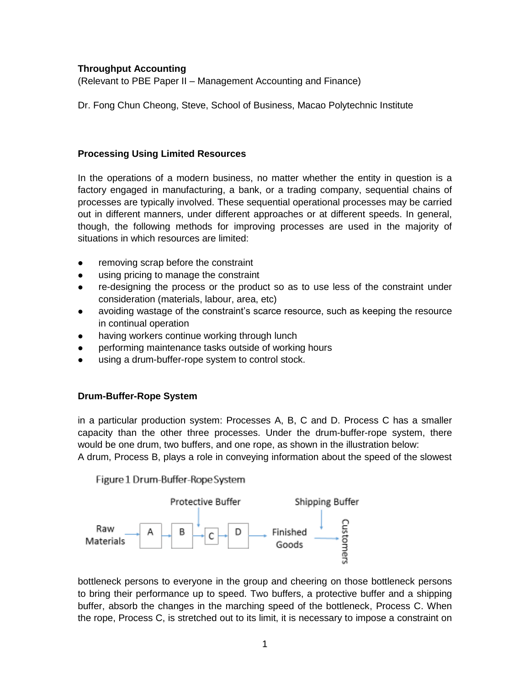### **Throughput Accounting**

(Relevant to PBE Paper II – Management Accounting and Finance)

Dr. Fong Chun Cheong, Steve, School of Business, Macao Polytechnic Institute

### **Processing Using Limited Resources**

In the operations of a modern business, no matter whether the entity in question is a factory engaged in manufacturing, a bank, or a trading company, sequential chains of processes are typically involved. These sequential operational processes may be carried out in different manners, under different approaches or at different speeds. In general, though, the following methods for improving processes are used in the majority of situations in which resources are limited:

- removing scrap before the constraint
- using pricing to manage the constraint
- re-designing the process or the product so as to use less of the constraint under consideration (materials, labour, area, etc)
- avoiding wastage of the constraint's scarce resource, such as keeping the resource in continual operation
- having workers continue working through lunch
- performing maintenance tasks outside of working hours
- using a drum-buffer-rope system to control stock.

# **Drum-Buffer-Rope System**

in a particular production system: Processes A, B, C and D. Process C has a smaller capacity than the other three processes. Under the drum-buffer-rope system, there would be one drum, two buffers, and one rope, as shown in the illustration below: A drum, Process B, plays a role in conveying information about the speed of the slowest

Figure 1 Drum-Buffer-Rope System



bottleneck persons to everyone in the group and cheering on those bottleneck persons to bring their performance up to speed. Two buffers, a protective buffer and a shipping buffer, absorb the changes in the marching speed of the bottleneck, Process C. When the rope, Process C, is stretched out to its limit, it is necessary to impose a constraint on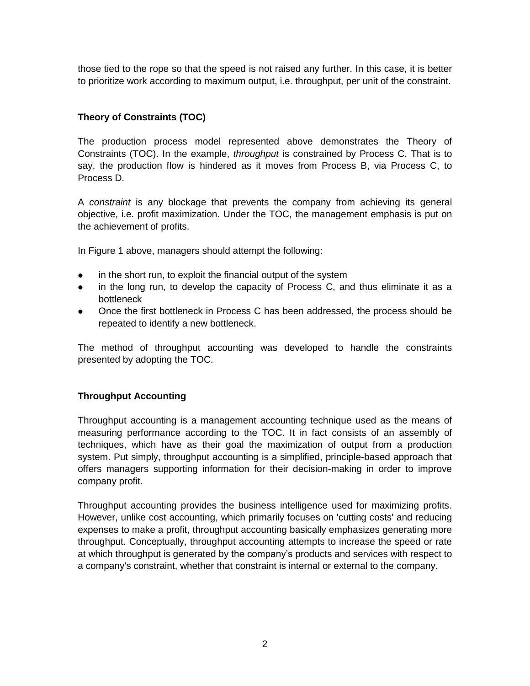those tied to the rope so that the speed is not raised any further. In this case, it is better to prioritize work according to maximum output, i.e. throughput, per unit of the constraint.

# **Theory of Constraints (TOC)**

The production process model represented above demonstrates the Theory of Constraints (TOC). In the example, *throughput* is constrained by Process C. That is to say, the production flow is hindered as it moves from Process B, via Process C, to Process D.

A *constraint* is any blockage that prevents the company from achieving its general objective, i.e. profit maximization. Under the TOC, the management emphasis is put on the achievement of profits.

In Figure 1 above, managers should attempt the following:

- in the short run, to exploit the financial output of the system
- in the long run, to develop the capacity of Process C, and thus eliminate it as a bottleneck
- Once the first bottleneck in Process C has been addressed, the process should be repeated to identify a new bottleneck.

The method of throughput accounting was developed to handle the constraints presented by adopting the TOC.

# **Throughput Accounting**

Throughput accounting is a management accounting technique used as the means of measuring performance according to the TOC. It in fact consists of an assembly of techniques, which have as their goal the maximization of output from a production system. Put simply, throughput accounting is a simplified, principle-based approach that offers managers supporting information for their decision-making in order to improve company profit.

Throughput accounting provides the business intelligence used for maximizing profits. However, unlike cost accounting, which primarily focuses on 'cutting costs' and reducing expenses to make a profit, throughput accounting basically emphasizes generating more throughput. Conceptually, throughput accounting attempts to increase the speed or rate at which throughput is generated by the company's products and services with respect to a company's constraint, whether that constraint is internal or external to the company.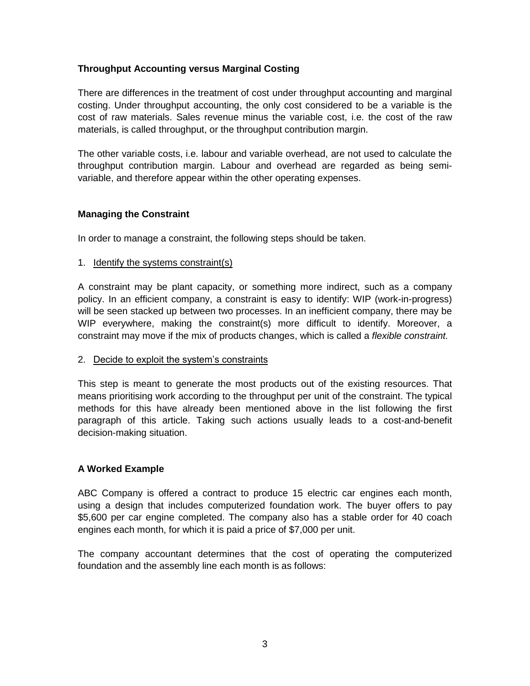### **Throughput Accounting versus Marginal Costing**

There are differences in the treatment of cost under throughput accounting and marginal costing. Under throughput accounting, the only cost considered to be a variable is the cost of raw materials. Sales revenue minus the variable cost, i.e. the cost of the raw materials, is called throughput, or the throughput contribution margin.

The other variable costs, i.e. labour and variable overhead, are not used to calculate the throughput contribution margin. Labour and overhead are regarded as being semivariable, and therefore appear within the other operating expenses.

### **Managing the Constraint**

In order to manage a constraint, the following steps should be taken.

#### 1. Identify the systems constraint(s)

A constraint may be plant capacity, or something more indirect, such as a company policy. In an efficient company, a constraint is easy to identify: WIP (work-in-progress) will be seen stacked up between two processes. In an inefficient company, there may be WIP everywhere, making the constraint(s) more difficult to identify. Moreover, a constraint may move if the mix of products changes, which is called a *flexible constraint.*

#### 2. Decide to exploit the system's constraints

This step is meant to generate the most products out of the existing resources. That means prioritising work according to the throughput per unit of the constraint. The typical methods for this have already been mentioned above in the list following the first paragraph of this article. Taking such actions usually leads to a cost-and-benefit decision-making situation.

# **A Worked Example**

ABC Company is offered a contract to produce 15 electric car engines each month, using a design that includes computerized foundation work. The buyer offers to pay \$5,600 per car engine completed. The company also has a stable order for 40 coach engines each month, for which it is paid a price of \$7,000 per unit.

The company accountant determines that the cost of operating the computerized foundation and the assembly line each month is as follows: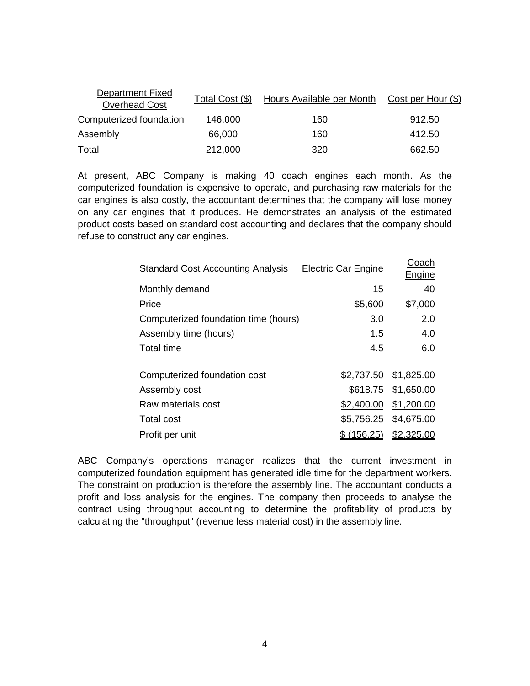| Department Fixed<br>Overhead Cost | Total Cost (\$) | Hours Available per Month | Cost per Hour (\$) |
|-----------------------------------|-----------------|---------------------------|--------------------|
| Computerized foundation           | 146,000         | 160                       | 912.50             |
| Assembly                          | 66,000          | 160                       | 412.50             |
| Total                             | 212,000         | 320                       | 662.50             |

At present, ABC Company is making 40 coach engines each month. As the computerized foundation is expensive to operate, and purchasing raw materials for the car engines is also costly, the accountant determines that the company will lose money on any car engines that it produces. He demonstrates an analysis of the estimated product costs based on standard cost accounting and declares that the company should refuse to construct any car engines.

| <b>Standard Cost Accounting Analysis</b> | <b>Electric Car Engine</b> | Coach<br>Engine       |
|------------------------------------------|----------------------------|-----------------------|
| Monthly demand                           | 15                         | 40                    |
| Price                                    | \$5,600                    | \$7,000               |
| Computerized foundation time (hours)     | 3.0                        | 2.0                   |
| Assembly time (hours)                    | 1.5                        | 4.0                   |
| <b>Total time</b>                        | 4.5                        | 6.0                   |
| Computerized foundation cost             |                            | \$2,737.50 \$1,825.00 |
| Assembly cost                            |                            | \$618.75 \$1,650.00   |
| Raw materials cost                       | \$2,400.00                 | \$1,200.00            |
| <b>Total cost</b>                        |                            | \$5,756.25 \$4,675.00 |
| Profit per unit                          | \$(156.25)                 | \$2,325.00            |

ABC Company's operations manager realizes that the current investment in computerized foundation equipment has generated idle time for the department workers. The constraint on production is therefore the assembly line. The accountant conducts a profit and loss analysis for the engines. The company then proceeds to analyse the contract using throughput accounting to determine the profitability of products by calculating the "throughput" (revenue less material cost) in the assembly line.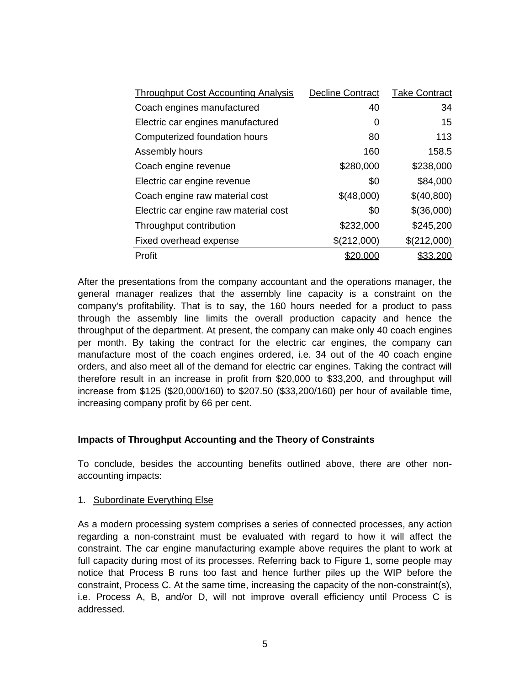| <b>Throughput Cost Accounting Analysis</b> | <b>Decline Contract</b> | <b>Take Contract</b> |
|--------------------------------------------|-------------------------|----------------------|
| Coach engines manufactured                 | 40                      | 34                   |
| Electric car engines manufactured          | 0                       | 15                   |
| Computerized foundation hours              | 80                      | 113                  |
| Assembly hours                             | 160                     | 158.5                |
| Coach engine revenue                       | \$280,000               | \$238,000            |
| Electric car engine revenue                | \$0                     | \$84,000             |
| Coach engine raw material cost             | \$(48,000)              | \$(40,800)           |
| Electric car engine raw material cost      | \$0                     | \$(36,000)           |
| Throughput contribution                    | \$232,000               | \$245,200            |
| Fixed overhead expense                     | \$(212,000)             | \$(212,000)          |
| Profit                                     |                         | <u>\$33,200</u>      |

After the presentations from the company accountant and the operations manager, the general manager realizes that the assembly line capacity is a constraint on the company's profitability. That is to say, the 160 hours needed for a product to pass through the assembly line limits the overall production capacity and hence the throughput of the department. At present, the company can make only 40 coach engines per month. By taking the contract for the electric car engines, the company can manufacture most of the coach engines ordered, i.e. 34 out of the 40 coach engine orders, and also meet all of the demand for electric car engines. Taking the contract will therefore result in an increase in profit from \$20,000 to \$33,200, and throughput will increase from \$125 (\$20,000/160) to \$207.50 (\$33,200/160) per hour of available time, increasing company profit by 66 per cent.

# **Impacts of Throughput Accounting and the Theory of Constraints**

To conclude, besides the accounting benefits outlined above, there are other nonaccounting impacts:

1. Subordinate Everything Else

As a modern processing system comprises a series of connected processes, any action regarding a non-constraint must be evaluated with regard to how it will affect the constraint. The car engine manufacturing example above requires the plant to work at full capacity during most of its processes. Referring back to Figure 1, some people may notice that Process B runs too fast and hence further piles up the WIP before the constraint, Process C. At the same time, increasing the capacity of the non-constraint(s), i.e. Process A, B, and/or D, will not improve overall efficiency until Process C is addressed.